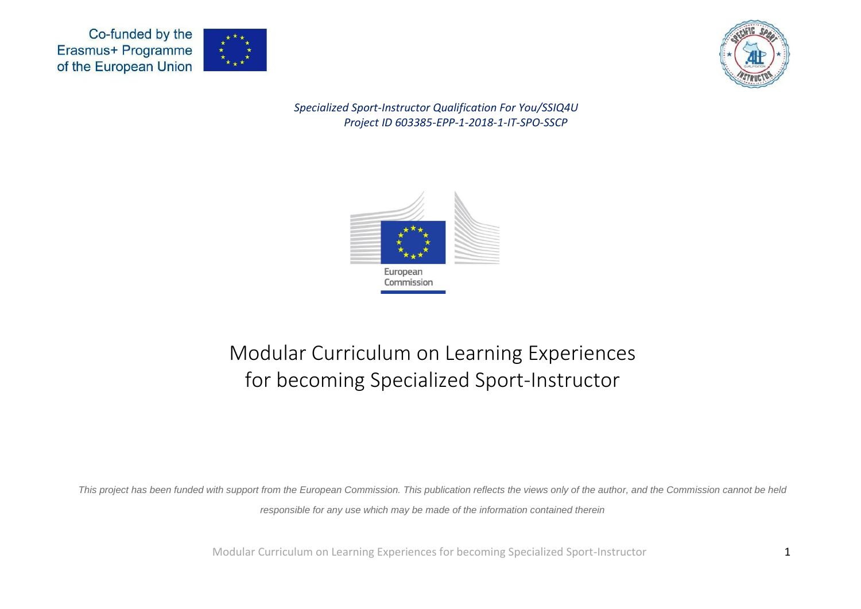



*Specialized Sport-Instructor Qualification For You/SSIQ4U Project ID 603385-EPP-1-2018-1-IT-SPO-SSCP*



## Modular Curriculum on Learning Experiences for becoming Specialized Sport-Instructor

*This project has been funded with support from the European Commission. This publication reflects the views only of the author, and the Commission cannot be held responsible for any use which may be made of the information contained therein*

Modular Curriculum on Learning Experiences for becoming Specialized Sport-Instructor 1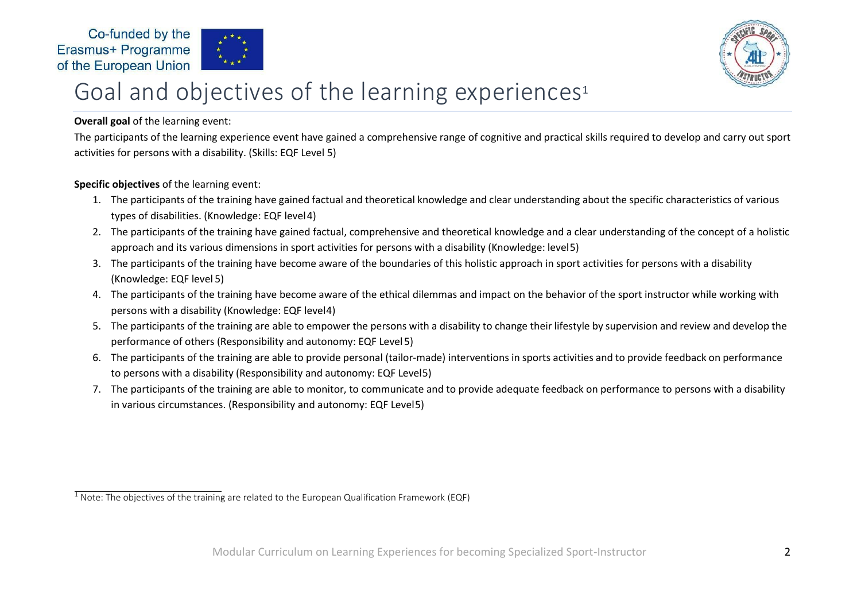



# Goal and objectives of the learning experiences 1

#### **Overall goal** of the learning event:

The participants of the learning experience event have gained a comprehensive range of cognitive and practical skills required to develop and carry out sport activities for persons with a disability. (Skills: EQF Level 5)

#### **Specific objectives** of the learning event:

- 1. The participants of the training have gained factual and theoretical knowledge and clear understanding about the specific characteristics of various types of disabilities. (Knowledge: EQF level4)
- 2. The participants of the training have gained factual, comprehensive and theoretical knowledge and a clear understanding of the concept of a holistic approach and its various dimensions in sport activities for persons with a disability (Knowledge: level5)
- 3. The participants of the training have become aware of the boundaries of this holistic approach in sport activities for persons with a disability (Knowledge: EQF level 5)
- 4. The participants of the training have become aware of the ethical dilemmas and impact on the behavior of the sport instructor while working with persons with a disability (Knowledge: EQF level4)
- 5. The participants of the training are able to empower the persons with a disability to change their lifestyle by supervision and review and develop the performance of others (Responsibility and autonomy: EQF Level5)
- 6. The participants of the training are able to provide personal (tailor-made) interventions in sports activities and to provide feedback on performance to persons with a disability (Responsibility and autonomy: EQF Level5)
- 7. The participants of the training are able to monitor, to communicate and to provide adequate feedback on performance to persons with a disability in various circumstances. (Responsibility and autonomy: EQF Level5)

 $\overline{1}$  Note: The objectives of the training are related to the European Qualification Framework (EQF)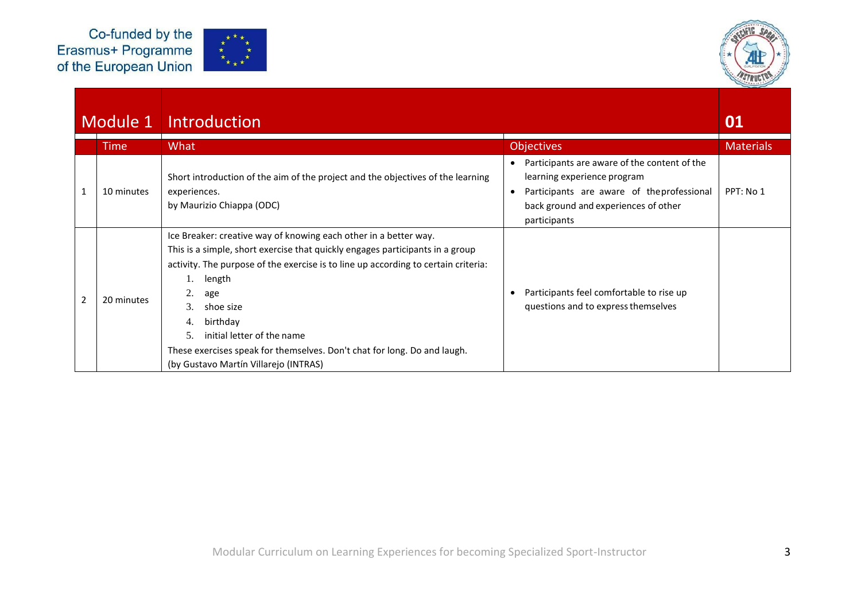



|              | Module 1    | Introduction                                                                                                                                                                                                                                                                                                                                                                                                                                                 |                                                                                                                                                                                   | 01               |
|--------------|-------------|--------------------------------------------------------------------------------------------------------------------------------------------------------------------------------------------------------------------------------------------------------------------------------------------------------------------------------------------------------------------------------------------------------------------------------------------------------------|-----------------------------------------------------------------------------------------------------------------------------------------------------------------------------------|------------------|
|              | <b>Time</b> | What                                                                                                                                                                                                                                                                                                                                                                                                                                                         | <b>Objectives</b>                                                                                                                                                                 | <b>Materials</b> |
| $\mathbf{1}$ | 10 minutes  | Short introduction of the aim of the project and the objectives of the learning<br>experiences.<br>by Maurizio Chiappa (ODC)                                                                                                                                                                                                                                                                                                                                 | Participants are aware of the content of the<br>learning experience program<br>Participants are aware of the professional<br>back ground and experiences of other<br>participants | PPT: No 1        |
| 2            | 20 minutes  | Ice Breaker: creative way of knowing each other in a better way.<br>This is a simple, short exercise that quickly engages participants in a group<br>activity. The purpose of the exercise is to line up according to certain criteria:<br>length<br>2.<br>age<br>3.<br>shoe size<br>birthday<br>4.<br>initial letter of the name<br>5.<br>These exercises speak for themselves. Don't chat for long. Do and laugh.<br>(by Gustavo Martín Villarejo (INTRAS) | Participants feel comfortable to rise up<br>questions and to express themselves                                                                                                   |                  |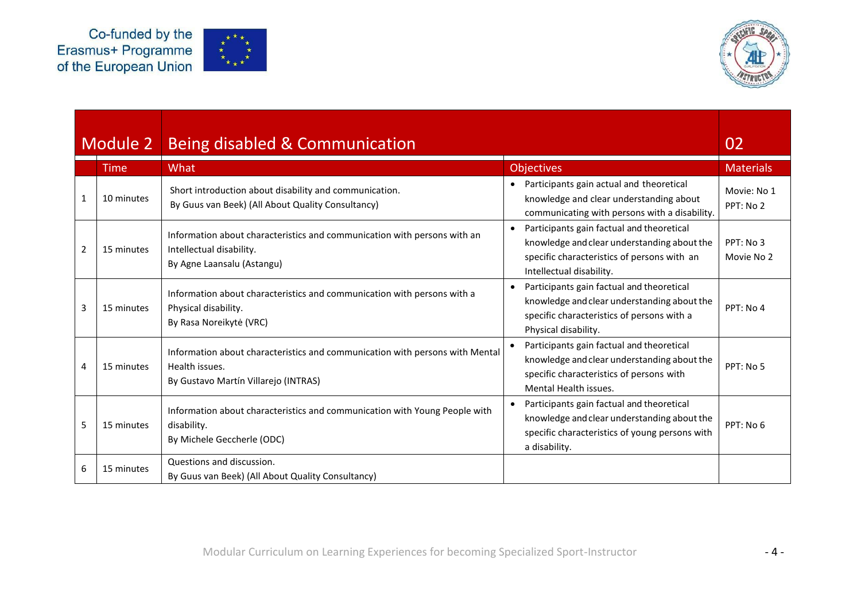



|                | Module 2   | Being disabled & Communication                                                                                                         |                                                                                                                                                                                  | 02                       |
|----------------|------------|----------------------------------------------------------------------------------------------------------------------------------------|----------------------------------------------------------------------------------------------------------------------------------------------------------------------------------|--------------------------|
|                | Time       | What                                                                                                                                   | Objectives                                                                                                                                                                       | <b>Materials</b>         |
| 1              | 10 minutes | Short introduction about disability and communication.<br>By Guus van Beek) (All About Quality Consultancy)                            | Participants gain actual and theoretical<br>knowledge and clear understanding about<br>communicating with persons with a disability.                                             | Movie: No 1<br>PPT: No 2 |
| $\overline{2}$ | 15 minutes | Information about characteristics and communication with persons with an<br>Intellectual disability.<br>By Agne Laansalu (Astangu)     | Participants gain factual and theoretical<br>$\bullet$<br>knowledge and clear understanding about the<br>specific characteristics of persons with an<br>Intellectual disability. | PPT: No 3<br>Movie No 2  |
| 3              | 15 minutes | Information about characteristics and communication with persons with a<br>Physical disability.<br>By Rasa Noreikytė (VRC)             | Participants gain factual and theoretical<br>knowledge and clear understanding about the<br>specific characteristics of persons with a<br>Physical disability.                   | PPT: No 4                |
| 4              | 15 minutes | Information about characteristics and communication with persons with Mental<br>Health issues.<br>By Gustavo Martín Villarejo (INTRAS) | Participants gain factual and theoretical<br>knowledge and clear understanding about the<br>specific characteristics of persons with<br>Mental Health issues.                    | PPT: No 5                |
| 5              | 15 minutes | Information about characteristics and communication with Young People with<br>disability.<br>By Michele Geccherle (ODC)                | Participants gain factual and theoretical<br>knowledge and clear understanding about the<br>specific characteristics of young persons with<br>a disability.                      | PPT: No 6                |
| 6              | 15 minutes | Questions and discussion.<br>By Guus van Beek) (All About Quality Consultancy)                                                         |                                                                                                                                                                                  |                          |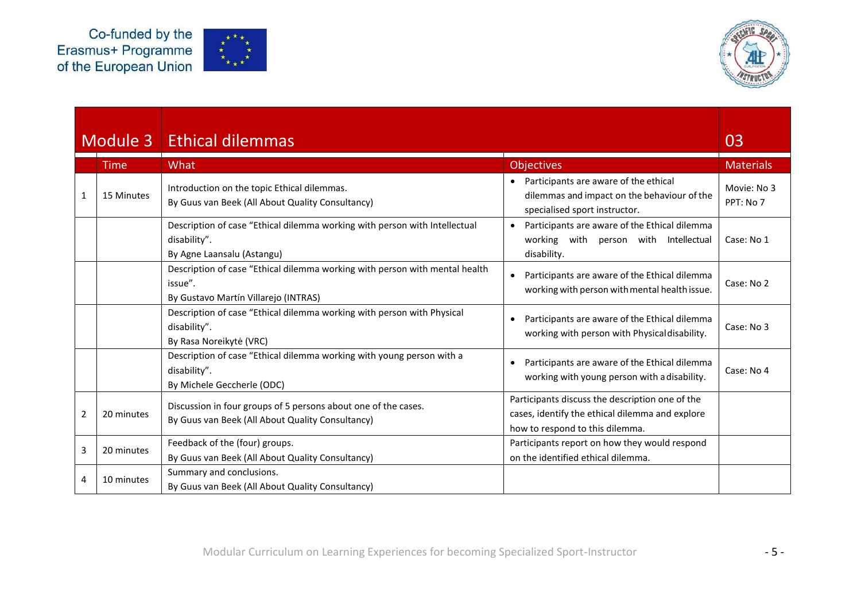



## Module 3 Ethical dilemmas 03

|   | Time       | What                                                                                                                           | <b>Objectives</b>                                                                                                                     | <b>Materials</b>         |
|---|------------|--------------------------------------------------------------------------------------------------------------------------------|---------------------------------------------------------------------------------------------------------------------------------------|--------------------------|
|   | 15 Minutes | Introduction on the topic Ethical dilemmas.<br>By Guus van Beek (All About Quality Consultancy)                                | Participants are aware of the ethical<br>dilemmas and impact on the behaviour of the<br>specialised sport instructor.                 | Movie: No 3<br>PPT: No 7 |
|   |            | Description of case "Ethical dilemma working with person with Intellectual<br>disability".<br>By Agne Laansalu (Astangu)       | Participants are aware of the Ethical dilemma<br>$\bullet$<br>working with person with Intellectual<br>disability.                    | Case: No 1               |
|   |            | Description of case "Ethical dilemma working with person with mental health<br>issue".<br>By Gustavo Martín Villarejo (INTRAS) | Participants are aware of the Ethical dilemma<br>working with person with mental health issue.                                        | Case: No 2               |
|   |            | Description of case "Ethical dilemma working with person with Physical<br>disability".<br>By Rasa Noreikytė (VRC)              | Participants are aware of the Ethical dilemma<br>working with person with Physical disability.                                        | Case: No 3               |
|   |            | Description of case "Ethical dilemma working with young person with a<br>disability".<br>By Michele Geccherle (ODC)            | Participants are aware of the Ethical dilemma<br>$\bullet$<br>working with young person with a disability.                            | Case: No 4               |
| 2 | 20 minutes | Discussion in four groups of 5 persons about one of the cases.<br>By Guus van Beek (All About Quality Consultancy)             | Participants discuss the description one of the<br>cases, identify the ethical dilemma and explore<br>how to respond to this dilemma. |                          |
|   | 20 minutes | Feedback of the (four) groups.<br>By Guus van Beek (All About Quality Consultancy)                                             | Participants report on how they would respond<br>on the identified ethical dilemma.                                                   |                          |
| 4 | 10 minutes | Summary and conclusions.<br>By Guus van Beek (All About Quality Consultancy)                                                   |                                                                                                                                       |                          |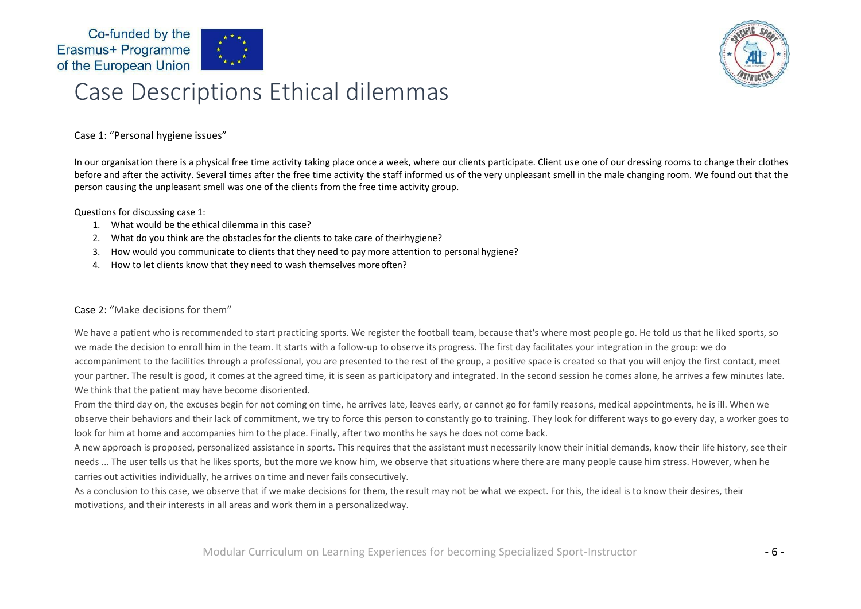



## Case Descriptions Ethical dilemmas

#### Case 1: "Personal hygiene issues"

In our organisation there is a physical free time activity taking place once a week, where our clients participate. Client use one of our dressing rooms to change their clothes before and after the activity. Several times after the free time activity the staff informed us of the very unpleasant smell in the male changing room. We found out that the person causing the unpleasant smell was one of the clients from the free time activity group.

#### Questions for discussing case 1:

- 1. What would be the ethical dilemma in this case?
- 2. What do you think are the obstacles for the clients to take care of theirhygiene?
- 3. How would you communicate to clients that they need to pay more attention to personalhygiene?
- 4. How to let clients know that they need to wash themselves moreoften?

#### Case 2: "Make decisions for them"

We have a patient who is recommended to start practicing sports. We register the football team, because that's where most people go. He told us that he liked sports, so we made the decision to enroll him in the team. It starts with a follow-up to observe its progress. The first day facilitates your integration in the group: we do accompaniment to the facilities through a professional, you are presented to the rest of the group, a positive space is created so that you will enjoy the first contact, meet your partner. The result is good, it comes at the agreed time, it is seen as participatory and integrated. In the second session he comes alone, he arrives a few minutes late. We think that the patient may have become disoriented.

From the third day on, the excuses begin for not coming on time, he arrives late, leaves early, or cannot go for family reasons, medical appointments, he is ill. When we observe their behaviors and their lack of commitment, we try to force this person to constantly go to training. They look for different ways to go every day, a worker goes to look for him at home and accompanies him to the place. Finally, after two months he says he does not come back.

A new approach is proposed, personalized assistance in sports. This requires that the assistant must necessarily know their initial demands, know their life history, see their needs ... The user tells us that he likes sports, but the more we know him, we observe that situations where there are many people cause him stress. However, when he carries out activities individually, he arrives on time and never fails consecutively.

As a conclusion to this case, we observe that if we make decisions for them, the result may not be what we expect. For this, the ideal is to know their desires, their motivations, and their interests in all areas and work them in a personalizedway.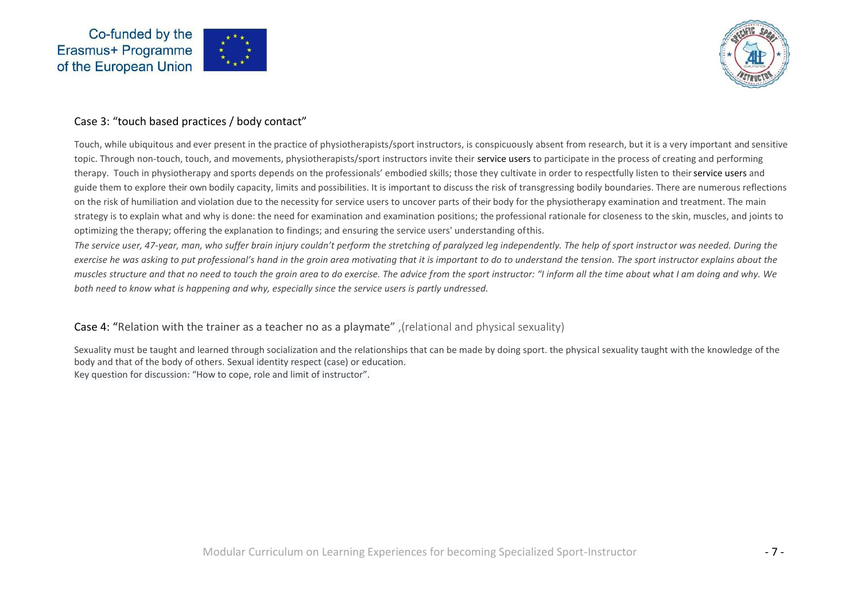





#### Case 3: "touch based practices / body contact"

Touch, while ubiquitous and ever present in the practice of physiotherapists/sport instructors, is conspicuously absent from research, but it is a very important and sensitive topic. Through non-touch, touch, and movements, physiotherapists/sport instructors invite their service users to participate in the process of creating and performing therapy. Touch in physiotherapy and sports depends on the professionals' embodied skills; those they cultivate in order to respectfully listen to their service users and guide them to explore their own bodily capacity, limits and possibilities. It is important to discuss the risk of transgressing bodily boundaries. There are numerous reflections on the risk of humiliation and violation due to the necessity for service users to uncover parts of their body for the physiotherapy examination and treatment. The main strategy is to explain what and why is done: the need for examination and examination positions; the professional rationale for closeness to the skin, muscles, and joints to optimizing the therapy; offering the explanation to findings; and ensuring the service users' understanding ofthis.

*The service user, 47-year, man, who suffer brain injury couldn't perform the stretching of paralyzed leg independently. The help of sport instructor was needed. During the exercise he was asking to put professional's hand in the groin area motivating that it is important to do to understand the tension. The sport instructor explains about the muscles structure and that no need to touch the groin area to do exercise. The advice from the sport instructor: "I inform all the time about what I am doing and why. We both need to know what is happening and why, especially since the service users is partly undressed.*

#### Case 4: "Relation with the trainer as a teacher no as a playmate" ,(relational and physical sexuality)

Sexuality must be taught and learned through socialization and the relationships that can be made by doing sport. the physical sexuality taught with the knowledge of the body and that of the body of others. Sexual identity respect (case) or education. Key question for discussion: "How to cope, role and limit of instructor".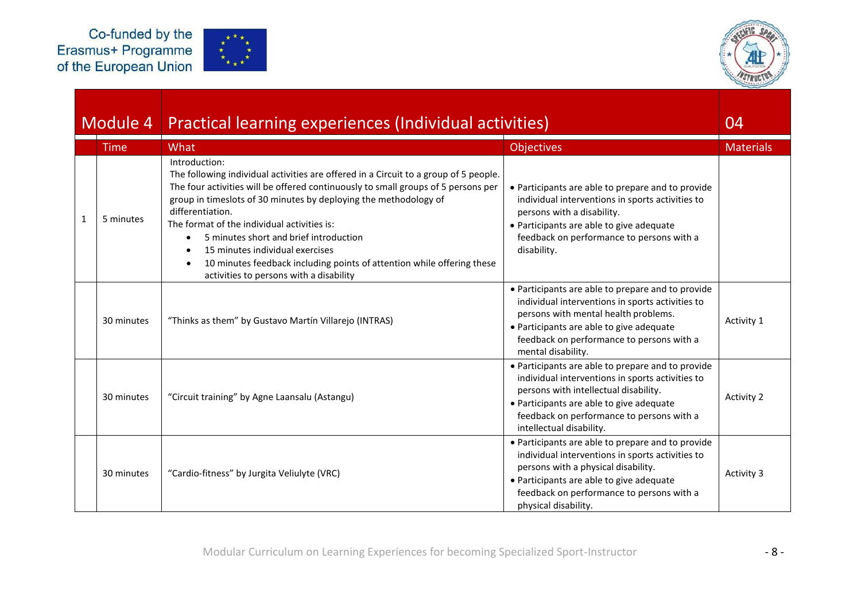



|   | Module 4    | Practical learning experiences (Individual activities)                                                                                                                                                                                                                                                                                                                                                                                                                                                                              |                                                                                                                                                                                                                                                                     | 04               |
|---|-------------|-------------------------------------------------------------------------------------------------------------------------------------------------------------------------------------------------------------------------------------------------------------------------------------------------------------------------------------------------------------------------------------------------------------------------------------------------------------------------------------------------------------------------------------|---------------------------------------------------------------------------------------------------------------------------------------------------------------------------------------------------------------------------------------------------------------------|------------------|
|   | <b>Time</b> | What                                                                                                                                                                                                                                                                                                                                                                                                                                                                                                                                | <b>Objectives</b>                                                                                                                                                                                                                                                   | <b>Materials</b> |
| 1 | 5 minutes   | Introduction:<br>The following individual activities are offered in a Circuit to a group of 5 people.<br>The four activities will be offered continuously to small groups of 5 persons per<br>group in timeslots of 30 minutes by deploying the methodology of<br>differentiation.<br>The format of the individual activities is:<br>5 minutes short and brief introduction<br>15 minutes individual exercises<br>10 minutes feedback including points of attention while offering these<br>activities to persons with a disability | • Participants are able to prepare and to provide<br>individual interventions in sports activities to<br>persons with a disability.<br>• Participants are able to give adequate<br>feedback on performance to persons with a<br>disability.                         |                  |
|   | 30 minutes  | "Thinks as them" by Gustavo Martín Villarejo (INTRAS)                                                                                                                                                                                                                                                                                                                                                                                                                                                                               | • Participants are able to prepare and to provide<br>individual interventions in sports activities to<br>persons with mental health problems.<br>• Participants are able to give adequate<br>feedback on performance to persons with a<br>mental disability.        | Activity 1       |
|   | 30 minutes  | "Circuit training" by Agne Laansalu (Astangu)                                                                                                                                                                                                                                                                                                                                                                                                                                                                                       | • Participants are able to prepare and to provide<br>individual interventions in sports activities to<br>persons with intellectual disability.<br>• Participants are able to give adequate<br>feedback on performance to persons with a<br>intellectual disability. | Activity 2       |
|   | 30 minutes  | "Cardio-fitness" by Jurgita Veliulyte (VRC)                                                                                                                                                                                                                                                                                                                                                                                                                                                                                         | • Participants are able to prepare and to provide<br>individual interventions in sports activities to<br>persons with a physical disability.<br>• Participants are able to give adequate<br>feedback on performance to persons with a<br>physical disability.       | Activity 3       |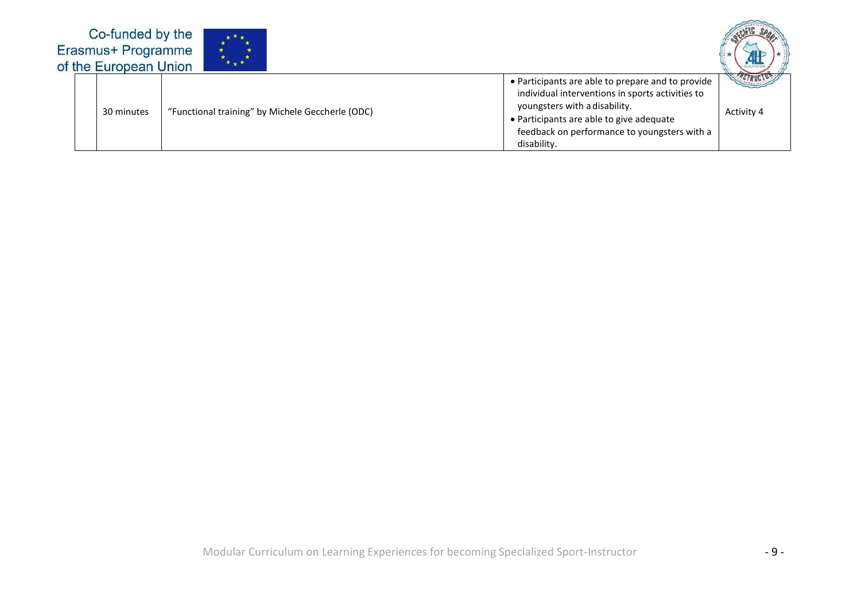| Co-funded by the<br>Erasmus+ Programme<br>of the European Union | $\star \star \star^{\star}$                      |                                                                                                                                                                                                                                                   |            |
|-----------------------------------------------------------------|--------------------------------------------------|---------------------------------------------------------------------------------------------------------------------------------------------------------------------------------------------------------------------------------------------------|------------|
| 30 minutes                                                      | "Functional training" by Michele Geccherle (ODC) | • Participants are able to prepare and to provide<br>individual interventions in sports activities to<br>youngsters with a disability.<br>• Participants are able to give adequate<br>feedback on performance to youngsters with a<br>disability. | Activity 4 |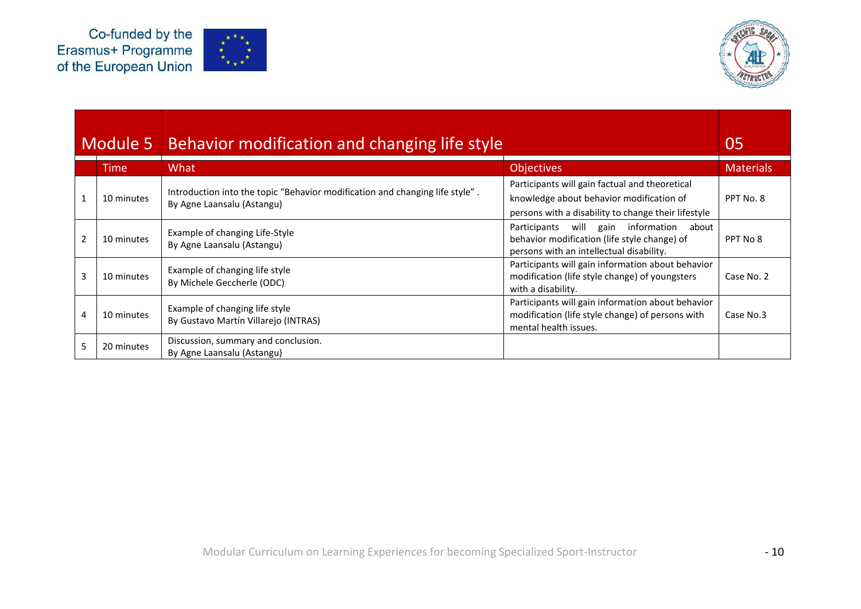



|                | Module 5   | Behavior modification and changing life style                                                              |                                                                                                                                                   | 05               |
|----------------|------------|------------------------------------------------------------------------------------------------------------|---------------------------------------------------------------------------------------------------------------------------------------------------|------------------|
|                | Time.      | What                                                                                                       | <b>Objectives</b>                                                                                                                                 | <b>Materials</b> |
| $\overline{1}$ | 10 minutes | Introduction into the topic "Behavior modification and changing life style".<br>By Agne Laansalu (Astangu) | Participants will gain factual and theoretical<br>knowledge about behavior modification of<br>persons with a disability to change their lifestyle | PPT No. 8        |
| $\mathfrak{p}$ | 10 minutes | Example of changing Life-Style<br>By Agne Laansalu (Astangu)                                               | information<br>Participants<br>will<br>gain<br>about<br>behavior modification (life style change) of<br>persons with an intellectual disability.  | PPT No 8         |
| 3              | 10 minutes | Example of changing life style<br>By Michele Geccherle (ODC)                                               | Participants will gain information about behavior<br>modification (life style change) of youngsters<br>with a disability.                         | Case No. 2       |
| 4              | 10 minutes | Example of changing life style<br>By Gustavo Martín Villarejo (INTRAS)                                     | Participants will gain information about behavior<br>modification (life style change) of persons with<br>mental health issues.                    | Case No.3        |
|                | 20 minutes | Discussion, summary and conclusion.<br>By Agne Laansalu (Astangu)                                          |                                                                                                                                                   |                  |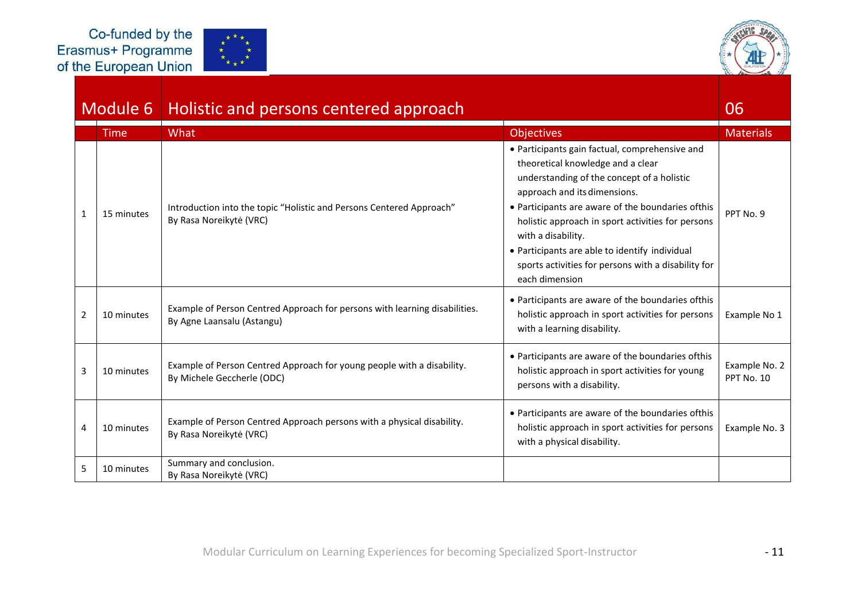



### Module 6 | Holistic and persons centered approach

|   | <b>Time</b> | What                                                                                                     | <b>Objectives</b>                                                                                                                                                                                                                                                                                                                                                                                                            | <b>Materials</b>            |
|---|-------------|----------------------------------------------------------------------------------------------------------|------------------------------------------------------------------------------------------------------------------------------------------------------------------------------------------------------------------------------------------------------------------------------------------------------------------------------------------------------------------------------------------------------------------------------|-----------------------------|
|   | 15 minutes  | Introduction into the topic "Holistic and Persons Centered Approach"<br>By Rasa Noreikytė (VRC)          | • Participants gain factual, comprehensive and<br>theoretical knowledge and a clear<br>understanding of the concept of a holistic<br>approach and its dimensions.<br>• Participants are aware of the boundaries ofthis<br>holistic approach in sport activities for persons<br>with a disability.<br>• Participants are able to identify individual<br>sports activities for persons with a disability for<br>each dimension | PPT No. 9                   |
| 2 | 10 minutes  | Example of Person Centred Approach for persons with learning disabilities.<br>By Agne Laansalu (Astangu) | • Participants are aware of the boundaries of this<br>holistic approach in sport activities for persons<br>with a learning disability.                                                                                                                                                                                                                                                                                       | Example No 1                |
| 3 | 10 minutes  | Example of Person Centred Approach for young people with a disability.<br>By Michele Geccherle (ODC)     | • Participants are aware of the boundaries of this<br>holistic approach in sport activities for young<br>persons with a disability.                                                                                                                                                                                                                                                                                          | Example No. 2<br>PPT No. 10 |
|   | 10 minutes  | Example of Person Centred Approach persons with a physical disability.<br>By Rasa Noreikytė (VRC)        | • Participants are aware of the boundaries ofthis<br>holistic approach in sport activities for persons<br>with a physical disability.                                                                                                                                                                                                                                                                                        | Example No. 3               |
| 5 | 10 minutes  | Summary and conclusion.<br>By Rasa Noreikytė (VRC)                                                       |                                                                                                                                                                                                                                                                                                                                                                                                                              |                             |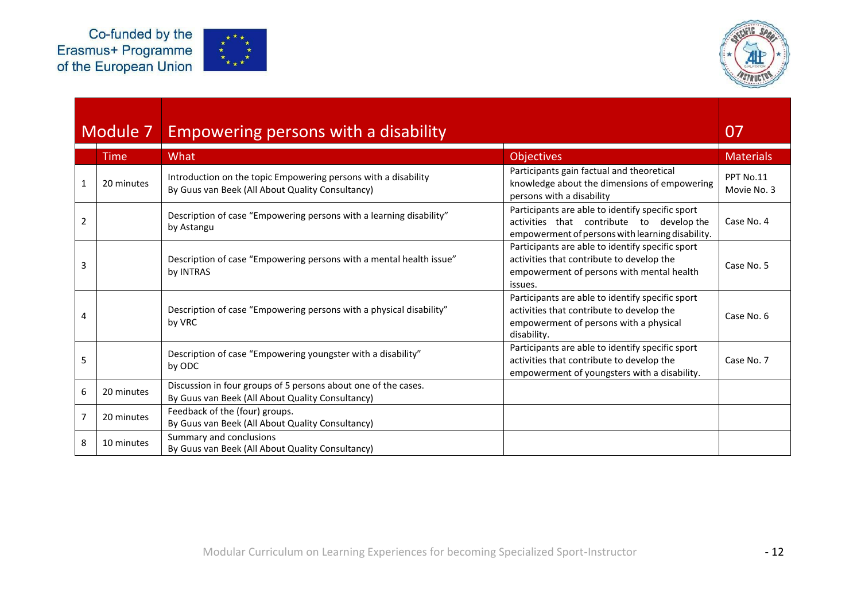



|                | Module 7    | Empowering persons with a disability                                                                               |                                                                                                                                                        | 07                       |
|----------------|-------------|--------------------------------------------------------------------------------------------------------------------|--------------------------------------------------------------------------------------------------------------------------------------------------------|--------------------------|
|                | <b>Time</b> | What                                                                                                               | <b>Objectives</b>                                                                                                                                      | <b>Materials</b>         |
|                | 20 minutes  | Introduction on the topic Empowering persons with a disability<br>By Guus van Beek (All About Quality Consultancy) | Participants gain factual and theoretical<br>knowledge about the dimensions of empowering<br>persons with a disability                                 | PPT No.11<br>Movie No. 3 |
| 2              |             | Description of case "Empowering persons with a learning disability"<br>by Astangu                                  | Participants are able to identify specific sport<br>activities that contribute to develop the<br>empowerment of persons with learning disability.      | Case No. 4               |
| 3              |             | Description of case "Empowering persons with a mental health issue"<br>by INTRAS                                   | Participants are able to identify specific sport<br>activities that contribute to develop the<br>empowerment of persons with mental health<br>issues.  | Case No. 5               |
| 4              |             | Description of case "Empowering persons with a physical disability"<br>by VRC                                      | Participants are able to identify specific sport<br>activities that contribute to develop the<br>empowerment of persons with a physical<br>disability. | Case No. 6               |
| 5              |             | Description of case "Empowering youngster with a disability"<br>by ODC                                             | Participants are able to identify specific sport<br>activities that contribute to develop the<br>empowerment of youngsters with a disability.          | Case No. 7               |
| 6              | 20 minutes  | Discussion in four groups of 5 persons about one of the cases.<br>By Guus van Beek (All About Quality Consultancy) |                                                                                                                                                        |                          |
| $\overline{7}$ | 20 minutes  | Feedback of the (four) groups.<br>By Guus van Beek (All About Quality Consultancy)                                 |                                                                                                                                                        |                          |
| 8              | 10 minutes  | Summary and conclusions<br>By Guus van Beek (All About Quality Consultancy)                                        |                                                                                                                                                        |                          |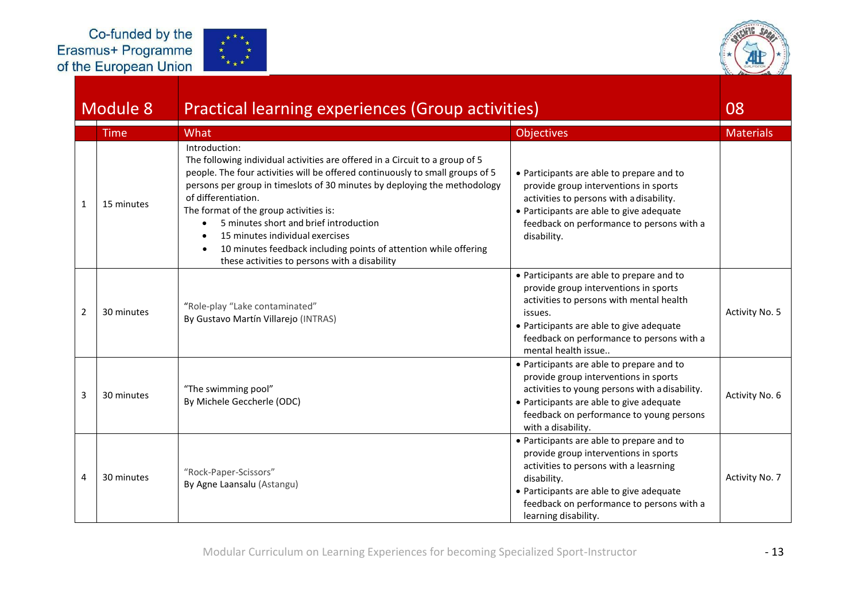



|                | Module 8    | Practical learning experiences (Group activities)                                                                                                                                                                                                                                                                                                                                                                                                                                                                              |                                                                                                                                                                                                                                                              | 08               |
|----------------|-------------|--------------------------------------------------------------------------------------------------------------------------------------------------------------------------------------------------------------------------------------------------------------------------------------------------------------------------------------------------------------------------------------------------------------------------------------------------------------------------------------------------------------------------------|--------------------------------------------------------------------------------------------------------------------------------------------------------------------------------------------------------------------------------------------------------------|------------------|
|                | <b>Time</b> | What                                                                                                                                                                                                                                                                                                                                                                                                                                                                                                                           | <b>Objectives</b>                                                                                                                                                                                                                                            | <b>Materials</b> |
| 1              | 15 minutes  | Introduction:<br>The following individual activities are offered in a Circuit to a group of 5<br>people. The four activities will be offered continuously to small groups of 5<br>persons per group in timeslots of 30 minutes by deploying the methodology<br>of differentiation.<br>The format of the group activities is:<br>5 minutes short and brief introduction<br>15 minutes individual exercises<br>10 minutes feedback including points of attention while offering<br>these activities to persons with a disability | • Participants are able to prepare and to<br>provide group interventions in sports<br>activities to persons with a disability.<br>• Participants are able to give adequate<br>feedback on performance to persons with a<br>disability.                       |                  |
| $\overline{2}$ | 30 minutes  | "Role-play "Lake contaminated"<br>By Gustavo Martín Villarejo (INTRAS)                                                                                                                                                                                                                                                                                                                                                                                                                                                         | • Participants are able to prepare and to<br>provide group interventions in sports<br>activities to persons with mental health<br>issues.<br>• Participants are able to give adequate<br>feedback on performance to persons with a<br>mental health issue    | Activity No. 5   |
| 3              | 30 minutes  | "The swimming pool"<br>By Michele Geccherle (ODC)                                                                                                                                                                                                                                                                                                                                                                                                                                                                              | • Participants are able to prepare and to<br>provide group interventions in sports<br>activities to young persons with a disability.<br>• Participants are able to give adequate<br>feedback on performance to young persons<br>with a disability.           | Activity No. 6   |
| 4              | 30 minutes  | "Rock-Paper-Scissors"<br>By Agne Laansalu (Astangu)                                                                                                                                                                                                                                                                                                                                                                                                                                                                            | • Participants are able to prepare and to<br>provide group interventions in sports<br>activities to persons with a leasrning<br>disability.<br>• Participants are able to give adequate<br>feedback on performance to persons with a<br>learning disability. | Activity No. 7   |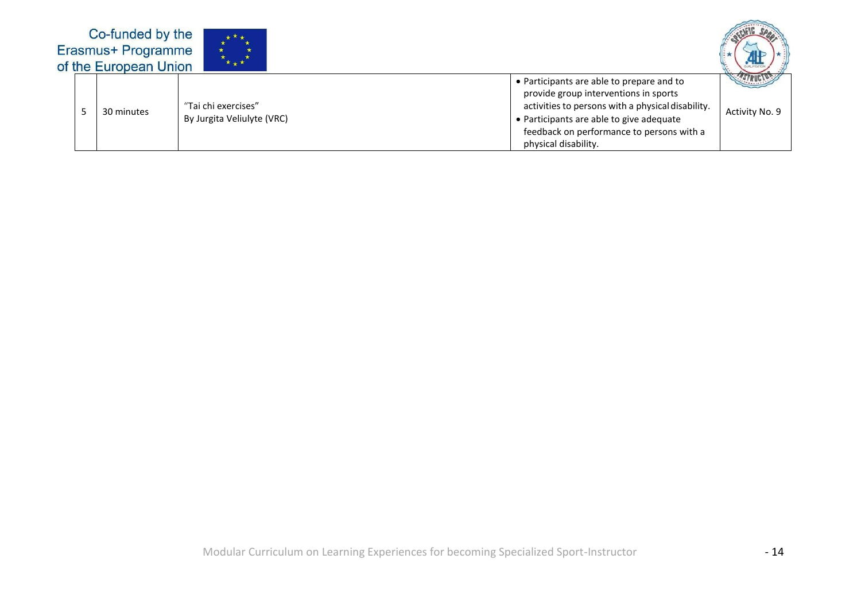| Co-funded by the<br>Erasmus+ Programme<br>of the European Union | $\star$ $\star$ $\star$                           |                                                                                                                                                                                                                                                          |                |
|-----------------------------------------------------------------|---------------------------------------------------|----------------------------------------------------------------------------------------------------------------------------------------------------------------------------------------------------------------------------------------------------------|----------------|
| 30 minutes                                                      | "Tai chi exercises"<br>By Jurgita Veliulyte (VRC) | • Participants are able to prepare and to<br>provide group interventions in sports<br>activities to persons with a physical disability.<br>• Participants are able to give adequate<br>feedback on performance to persons with a<br>physical disability. | Activity No. 9 |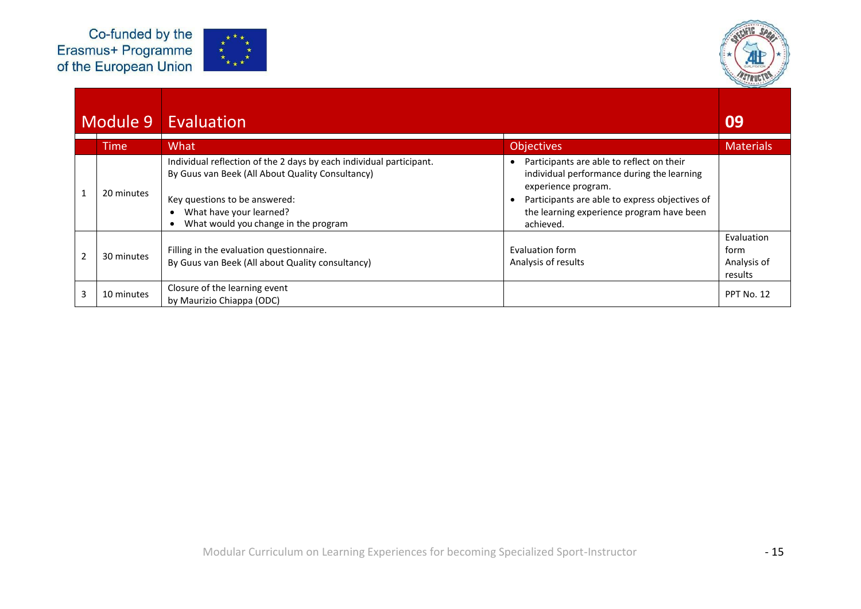



|                | Module 9    | Evaluation                                                                                                                                                                                                                  |                                                                                                                                                                                                                            | 09                                           |
|----------------|-------------|-----------------------------------------------------------------------------------------------------------------------------------------------------------------------------------------------------------------------------|----------------------------------------------------------------------------------------------------------------------------------------------------------------------------------------------------------------------------|----------------------------------------------|
|                | <b>Time</b> | What                                                                                                                                                                                                                        | <b>Objectives</b>                                                                                                                                                                                                          | <b>Materials</b>                             |
| $\mathbf{1}$   | 20 minutes  | Individual reflection of the 2 days by each individual participant.<br>By Guus van Beek (All About Quality Consultancy)<br>Key questions to be answered:<br>What have your learned?<br>What would you change in the program | Participants are able to reflect on their<br>individual performance during the learning<br>experience program.<br>Participants are able to express objectives of<br>the learning experience program have been<br>achieved. |                                              |
| $\overline{2}$ | 30 minutes  | Filling in the evaluation questionnaire.<br>By Guus van Beek (All about Quality consultancy)                                                                                                                                | Evaluation form<br>Analysis of results                                                                                                                                                                                     | Evaluation<br>form<br>Analysis of<br>results |
| 3              | 10 minutes  | Closure of the learning event<br>by Maurizio Chiappa (ODC)                                                                                                                                                                  |                                                                                                                                                                                                                            | PPT No. 12                                   |